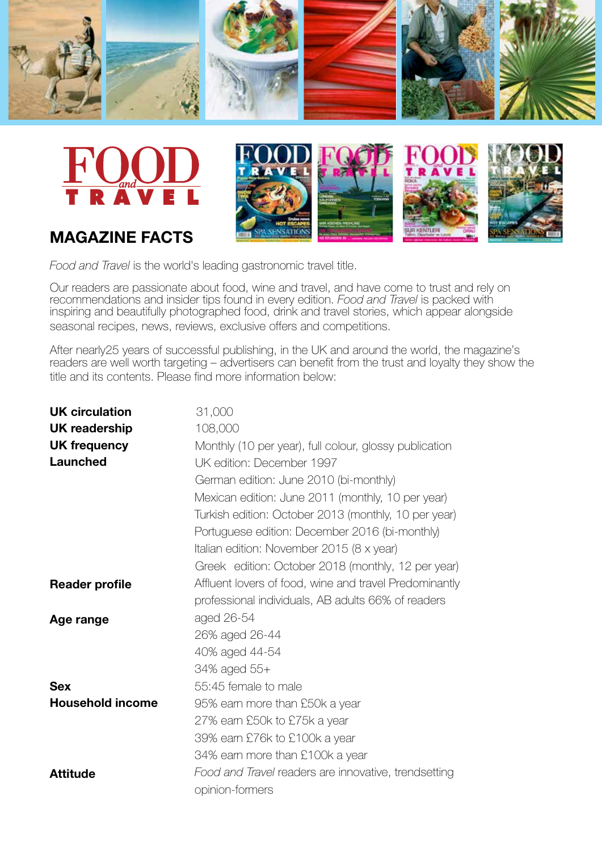





# **magazine facts**

*Food and Travel* is the world's leading gastronomic travel title.

Our readers are passionate about food, wine and travel, and have come to trust and rely on recommendations and insider tips found in every edition. *Food and Travel* is packed with inspiring and beautifully photographed food, drink and travel stories, which appear alongside seasonal recipes, news, reviews, exclusive offers and competitions.

After nearly25 years of successful publishing, in the UK and around the world, the magazine's readers are well worth targeting – advertisers can benefit from the trust and loyalty they show the title and its contents. Please find more information below:

| <b>UK circulation</b>   | 31,000                                                 |
|-------------------------|--------------------------------------------------------|
| <b>UK readership</b>    | 108,000                                                |
| <b>UK frequency</b>     | Monthly (10 per year), full colour, glossy publication |
| Launched                | UK edition: December 1997                              |
|                         | German edition: June 2010 (bi-monthly)                 |
|                         | Mexican edition: June 2011 (monthly, 10 per year)      |
|                         | Turkish edition: October 2013 (monthly, 10 per year)   |
|                         | Portuguese edition: December 2016 (bi-monthly)         |
|                         | Italian edition: November 2015 (8 x year)              |
|                         | Greek edition: October 2018 (monthly, 12 per year)     |
| <b>Reader profile</b>   | Affluent lovers of food, wine and travel Predominantly |
|                         | professional individuals, AB adults 66% of readers     |
| Age range               | aged 26-54                                             |
|                         | 26% aged 26-44                                         |
|                         | 40% aged 44-54                                         |
|                         | 34% aged 55+                                           |
| <b>Sex</b>              | 55:45 female to male                                   |
| <b>Household income</b> | 95% earn more than £50k a year                         |
|                         | 27% earn £50k to £75k a year                           |
|                         | 39% earn £76k to £100k a year                          |
|                         | 34% earn more than £100k a year                        |
| <b>Attitude</b>         | Food and Travel readers are innovative, trendsetting   |
|                         | opinion-formers                                        |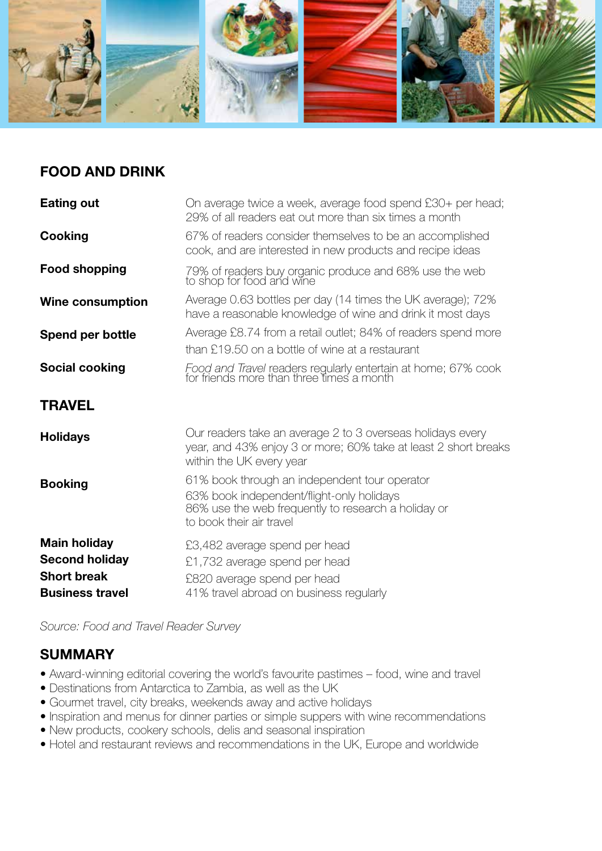

## **Food and Drink**

| <b>Eating out</b>       | On average twice a week, average food spend £30+ per head;<br>29% of all readers eat out more than six times a month                                                          |
|-------------------------|-------------------------------------------------------------------------------------------------------------------------------------------------------------------------------|
| Cooking                 | 67% of readers consider themselves to be an accomplished<br>cook, and are interested in new products and recipe ideas                                                         |
| <b>Food shopping</b>    | 79% of readers buy organic produce and 68% use the web to shop for food and wine                                                                                              |
| <b>Wine consumption</b> | Average 0.63 bottles per day (14 times the UK average); 72%<br>have a reasonable knowledge of wine and drink it most days                                                     |
| Spend per bottle        | Average £8.74 from a retail outlet; 84% of readers spend more<br>than £19.50 on a bottle of wine at a restaurant                                                              |
| <b>Social cooking</b>   | Food and Travel readers regularly entertain at home; 67% cook for friends more than three times a month                                                                       |
| <b>TRAVEL</b>           |                                                                                                                                                                               |
| <b>Holidays</b>         | Our readers take an average 2 to 3 overseas holidays every<br>year, and 43% enjoy 3 or more; 60% take at least 2 short breaks<br>within the UK every year                     |
| <b>Booking</b>          | 61% book through an independent tour operator<br>63% book independent/flight-only holidays<br>86% use the web frequently to research a holiday or<br>to book their air travel |
| <b>Main holiday</b>     | £3,482 average spend per head                                                                                                                                                 |
| <b>Second holiday</b>   | £1,732 average spend per head                                                                                                                                                 |
| <b>Short break</b>      | £820 average spend per head                                                                                                                                                   |
| <b>Business travel</b>  | 41% travel abroad on business regularly                                                                                                                                       |

*Source: Food and Travel Reader Survey*

### **Summary**

- **•** Award-winning editorial covering the world's favourite pastimes food, wine and travel
- **•** Destinations from Antarctica to Zambia, as well as the UK
- **•** Gourmet travel, city breaks, weekends away and active holidays
- **•** Inspiration and menus for dinner parties or simple suppers with wine recommendations
- **•** New products, cookery schools, delis and seasonal inspiration
- **•** Hotel and restaurant reviews and recommendations in the UK, Europe and worldwide